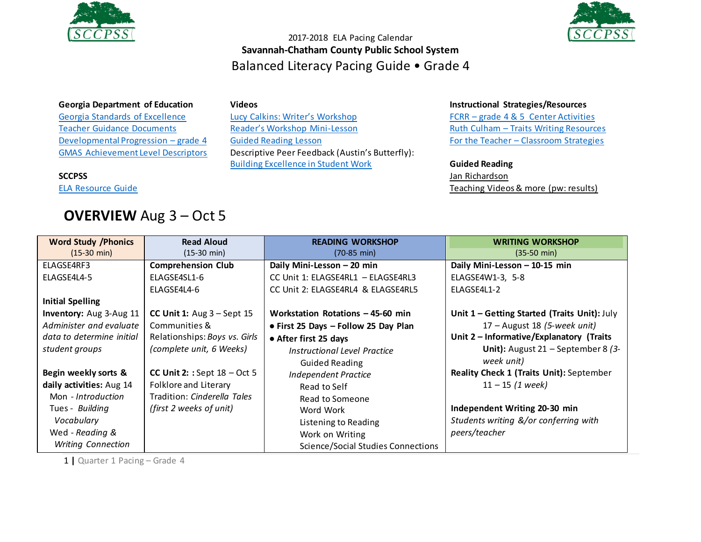



### **Georgia Department of Education**

[Georgia Standards of Excellence](https://drive.google.com/open?id=0B9TBXLcHMe3WNmhEaVZjeTctOWM) [Teacher Guidance Documents](https://drive.google.com/open?id=0B9TBXLcHMe3WR0E1c09QNzZRYmc) [Developmental Progression](https://drive.google.com/open?id=0B9TBXLcHMe3WOTNDMVE0bktWbjg) – grade 4 [GMAS Achievement Level Descriptors](https://www.gadoe.org/Curriculum-Instruction-and-Assessment/Assessment/Documents/Milestones/ALD/ALDS_for_Grade_4_Milestones_EOG_ELA.pdf)

#### **SCCPSS**

[ELA Resource Guide](https://drive.google.com/file/d/0B3Uu6Ml6RRkDQXR5eWJlU1pwQmM/view)

# **OVERVIEW** Aug 3 – Oct 5

#### **Videos**

[Lucy Calkins: Writer's Workshop](https://www.youtube.com/watch?v=zPRM2ZXyrS0&list=PLb5RXypPqP5sNAYNUDEfwaq2QYPauhCcc) [Reader's Workshop Mini](https://www.youtube.com/watch?v=x-wGHenBAEc&index=13&list=PL1R9MLStsjiGBNHPeCMUidYAVX0_1GwNj)-Lesson [Guided Reading Lesson](https://www.youtube.com/watch?v=3AHxqggc-yI) Descriptive Peer Feedback (Austin's Butterfly): [Building Excellence in Student Work](https://vimeo.com/38247060)

#### **Instructional Strategies/Resources**

FCRR – [grade 4 & 5 Center Activities](http://www.fcrr.org/resources/resources_sca_4-5.html)  Ruth Culham – [Traits Writing Resources](http://www.culhamwriting.com/LIBRARY/RESOURCES/scoringguides.html) For the Teacher – [Classroom Strategies](http://www.fortheteachers.org/instructional_strategies/)

### **Guided Reading**

[Jan Richardson](http://www.janrichardsonguidedreading.com/home) [Teaching Videos & more \(pw: results\)](http://www.scholastic.com/NSFresources/)

| <b>Word Study / Phonics</b> | <b>Read Aloud</b>                            | <b>READING WORKSHOP</b>              | <b>WRITING WORKSHOP</b>                         |
|-----------------------------|----------------------------------------------|--------------------------------------|-------------------------------------------------|
| $(15-30 \text{ min})$       | $(15-30 \text{ min})$                        | $(70-85 \text{ min})$                | $(35-50 \text{ min})$                           |
| ELAGSE4RF3                  | <b>Comprehension Club</b>                    | Daily Mini-Lesson - 20 min           | Daily Mini-Lesson - 10-15 min                   |
| ELAGSE4L4-5                 | ELAGSE4SL1-6                                 | CC Unit 1: ELAGSE4RL1 - ELAGSE4RL3   | ELAGSE4W1-3, 5-8                                |
|                             | ELAGSE4L4-6                                  | CC Unit 2: ELAGSE4RL4 & ELAGSE4RL5   | ELAGSE4L1-2                                     |
| <b>Initial Spelling</b>     |                                              |                                      |                                                 |
| Inventory: Aug 3-Aug 11     | CC Unit 1: $Aug 3 - Sept 15$                 | Workstation Rotations - 45-60 min    | Unit 1 - Getting Started (Traits Unit): July    |
| Administer and evaluate     | Communities &                                | • First 25 Days - Follow 25 Day Plan | $17 -$ August 18 (5-week unit)                  |
| data to determine initial   | Relationships: Boys vs. Girls                | • After first 25 days                | Unit 2 - Informative/Explanatory (Traits        |
| student groups              | (complete unit, 6 Weeks)                     | <b>Instructional Level Practice</b>  | Unit): August 21 - September 8 $(3-$            |
|                             |                                              | <b>Guided Reading</b>                | week unit)                                      |
| Begin weekly sorts &        | CC Unit 2: $\text{sept } 18 - \text{Oct } 5$ | <b>Independent Practice</b>          | <b>Reality Check 1 (Traits Unit): September</b> |
| daily activities: Aug 14    | Folklore and Literary                        | Read to Self                         | $11 - 15$ (1 week)                              |
| Mon - Introduction          | Tradition: Cinderella Tales                  | Read to Someone                      |                                                 |
| Tues - Building             | (first 2 weeks of unit)                      | Word Work                            | Independent Writing 20-30 min                   |
| Vocabulary                  |                                              | Listening to Reading                 | Students writing &/or conferring with           |
| Wed - Reading &             |                                              | Work on Writing                      | peers/teacher                                   |
| <b>Writing Connection</b>   |                                              | Science/Social Studies Connections   |                                                 |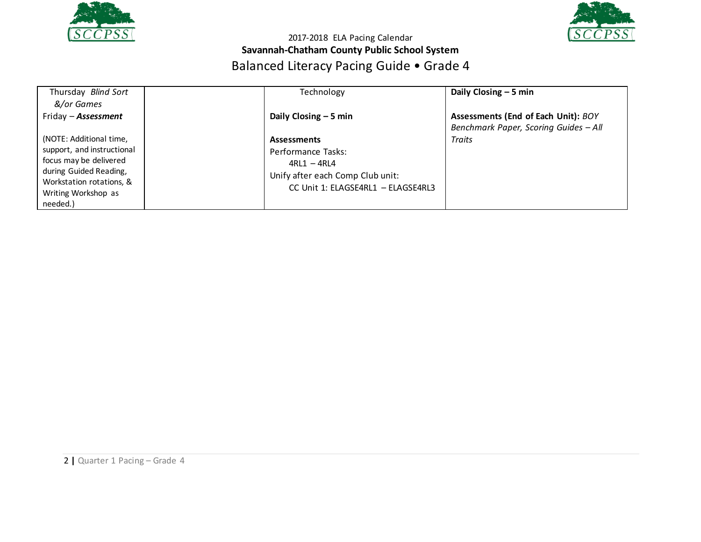



| Thursday Blind Sort                                                                                                                                                      | Technology                                                                                                                          | Daily Closing $-5$ min                                                       |
|--------------------------------------------------------------------------------------------------------------------------------------------------------------------------|-------------------------------------------------------------------------------------------------------------------------------------|------------------------------------------------------------------------------|
| &/or Games                                                                                                                                                               |                                                                                                                                     |                                                                              |
| Friday - <b>Assessment</b>                                                                                                                                               | Daily Closing $-5$ min                                                                                                              | Assessments (End of Each Unit): BOY<br>Benchmark Paper, Scoring Guides - All |
| (NOTE: Additional time,<br>support, and instructional<br>focus may be delivered<br>during Guided Reading,<br>Workstation rotations, &<br>Writing Workshop as<br>needed.) | <b>Assessments</b><br>Performance Tasks:<br>$4RL1 - 4RL4$<br>Unify after each Comp Club unit:<br>CC Unit 1: ELAGSE4RL1 - ELAGSE4RL3 | Traits                                                                       |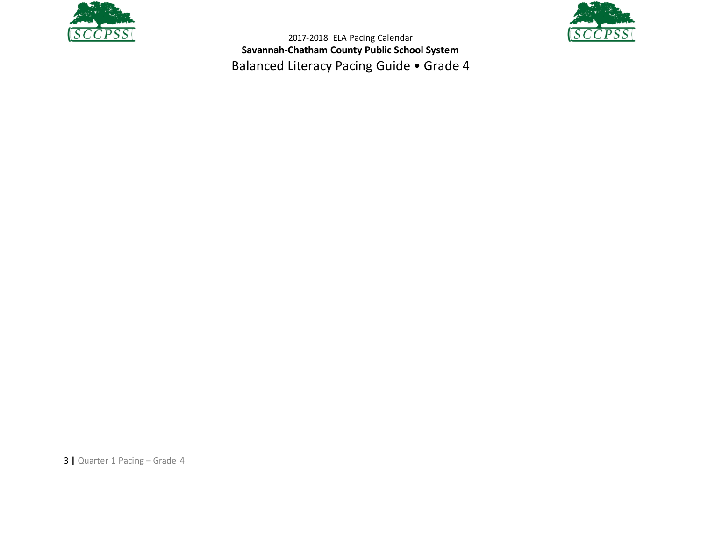

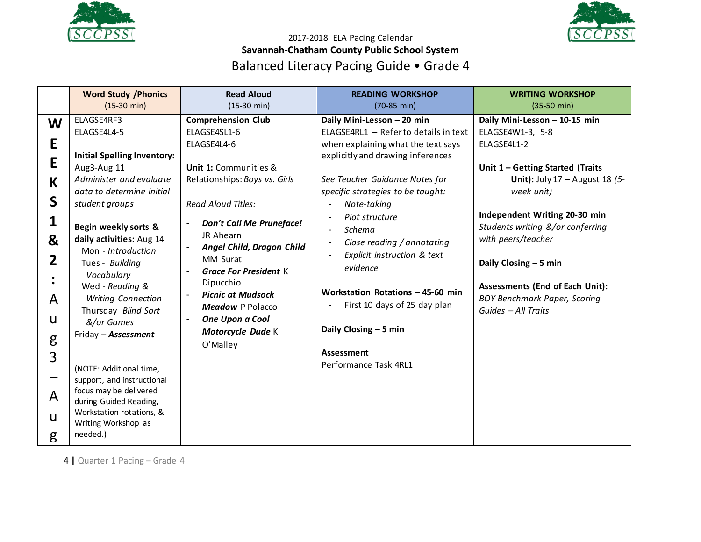



|                                                          | <b>Word Study / Phonics</b><br>$(15-30 \text{ min})$                                                                                                                                                                                                                                                                                                                                                                                     | <b>Read Aloud</b><br>$(15-30 \text{ min})$                                                                                                                                                                                                                                                                                                                                                | <b>READING WORKSHOP</b><br>(70-85 min)                                                                                                                                                                                                                                                                                                                                                                                                                                                | <b>WRITING WORKSHOP</b><br>$(35-50 \text{ min})$                                                                                                                                                                                                                                                                                                                                 |
|----------------------------------------------------------|------------------------------------------------------------------------------------------------------------------------------------------------------------------------------------------------------------------------------------------------------------------------------------------------------------------------------------------------------------------------------------------------------------------------------------------|-------------------------------------------------------------------------------------------------------------------------------------------------------------------------------------------------------------------------------------------------------------------------------------------------------------------------------------------------------------------------------------------|---------------------------------------------------------------------------------------------------------------------------------------------------------------------------------------------------------------------------------------------------------------------------------------------------------------------------------------------------------------------------------------------------------------------------------------------------------------------------------------|----------------------------------------------------------------------------------------------------------------------------------------------------------------------------------------------------------------------------------------------------------------------------------------------------------------------------------------------------------------------------------|
| W<br>E<br>E<br>K<br>S<br>1<br>&<br>2<br>A<br>u<br>g<br>3 | ELAGSE4RF3<br>ELAGSE4L4-5<br><b>Initial Spelling Inventory:</b><br>Aug3-Aug 11<br>Administer and evaluate<br>data to determine initial<br>student groups<br>Begin weekly sorts &<br>daily activities: Aug 14<br>Mon - Introduction<br>Tues - Building<br>Vocabulary<br>Wed - Reading &<br><b>Writing Connection</b><br>Thursday Blind Sort<br>&/or Games<br>Friday - Assessment<br>(NOTE: Additional time,<br>support, and instructional | <b>Comprehension Club</b><br>ELAGSE4SL1-6<br>ELAGSE4L4-6<br>Unit 1: Communities &<br>Relationships: Boys vs. Girls<br><b>Read Aloud Titles:</b><br>Don't Call Me Pruneface!<br>JR Ahearn<br>Angel Child, Dragon Child<br>MM Surat<br><b>Grace For President K</b><br>Dipucchio<br><b>Picnic at Mudsock</b><br><b>Meadow P Polacco</b><br>One Upon a Cool<br>Motorcycle Dude K<br>O'Malley | Daily Mini-Lesson - 20 min<br>ELAGSE4RL1 - Refer to details in text<br>when explaining what the text says<br>explicitly and drawing inferences<br>See Teacher Guidance Notes for<br>specific strategies to be taught:<br>Note-taking<br>Plot structure<br>Schema<br>Close reading / annotating<br>Explicit instruction & text<br>evidence<br>Workstation Rotations - 45-60 min<br>First 10 days of 25 day plan<br>Daily Closing - 5 min<br><b>Assessment</b><br>Performance Task 4RL1 | Daily Mini-Lesson - 10-15 min<br>ELAGSE4W1-3, 5-8<br>ELAGSE4L1-2<br>Unit 1 - Getting Started (Traits<br>Unit): July 17 - August 18 (5-<br>week unit)<br>Independent Writing 20-30 min<br>Students writing &/or conferring<br>with peers/teacher<br>Daily Closing - 5 min<br><b>Assessments (End of Each Unit):</b><br><b>BOY Benchmark Paper, Scoring</b><br>Guides - All Traits |
| A<br>u<br>g                                              | focus may be delivered<br>during Guided Reading,<br>Workstation rotations, &<br>Writing Workshop as<br>needed.)                                                                                                                                                                                                                                                                                                                          |                                                                                                                                                                                                                                                                                                                                                                                           |                                                                                                                                                                                                                                                                                                                                                                                                                                                                                       |                                                                                                                                                                                                                                                                                                                                                                                  |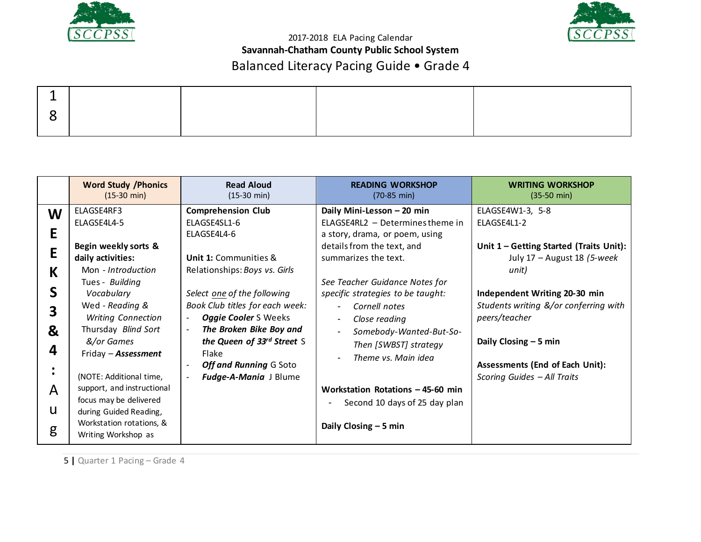



|                                           | <b>Word Study / Phonics</b><br>$(15-30 \text{ min})$                                                                                                                                                                                                                                                                                                                               | <b>Read Aloud</b><br>$(15-30 \text{ min})$                                                                                                                                                                                                                                                                                                                           | <b>READING WORKSHOP</b><br>$(70-85 \text{ min})$                                                                                                                                                                                                                                                                                                                                                                 | <b>WRITING WORKSHOP</b><br>$(35-50 \text{ min})$                                                                                                                                                                                                                                                                 |
|-------------------------------------------|------------------------------------------------------------------------------------------------------------------------------------------------------------------------------------------------------------------------------------------------------------------------------------------------------------------------------------------------------------------------------------|----------------------------------------------------------------------------------------------------------------------------------------------------------------------------------------------------------------------------------------------------------------------------------------------------------------------------------------------------------------------|------------------------------------------------------------------------------------------------------------------------------------------------------------------------------------------------------------------------------------------------------------------------------------------------------------------------------------------------------------------------------------------------------------------|------------------------------------------------------------------------------------------------------------------------------------------------------------------------------------------------------------------------------------------------------------------------------------------------------------------|
| W<br>E<br>E<br>K<br>S<br>&<br>4<br>A<br>U | ELAGSE4RF3<br>ELAGSE4L4-5<br>Begin weekly sorts &<br>daily activities:<br>Mon - Introduction<br>Tues - Building<br>Vocabulary<br>Wed - Reading &<br><b>Writing Connection</b><br>Thursday Blind Sort<br>&/or Games<br>Friday - Assessment<br>(NOTE: Additional time,<br>support, and instructional<br>focus may be delivered<br>during Guided Reading,<br>Workstation rotations, & | <b>Comprehension Club</b><br>ELAGSE4SL1-6<br>ELAGSE4L4-6<br>Unit 1: Communities &<br>Relationships: Boys vs. Girls<br>Select one of the following<br>Book Club titles for each week:<br><b>Oggie Cooler S Weeks</b><br>$\sim$<br>The Broken Bike Boy and<br>$\blacksquare$<br>the Queen of 33rd Street S<br>Flake<br>Off and Running G Soto<br>Fudge-A-Mania J Blume | Daily Mini-Lesson - 20 min<br>ELAGSE4RL2 - Determines theme in<br>a story, drama, or poem, using<br>details from the text, and<br>summarizes the text.<br>See Teacher Guidance Notes for<br>specific strategies to be taught:<br>Cornell notes<br>Close reading<br>Somebody-Wanted-But-So-<br>Then [SWBST] strategy<br>Theme vs. Main idea<br>Workstation Rotations - 45-60 min<br>Second 10 days of 25 day plan | ELAGSE4W1-3, 5-8<br>ELAGSE4L1-2<br>Unit 1 - Getting Started (Traits Unit):<br>July 17 - August 18 (5-week<br>unit)<br>Independent Writing 20-30 min<br>Students writing &/or conferring with<br>peers/teacher<br>Daily Closing $-5$ min<br><b>Assessments (End of Each Unit):</b><br>Scoring Guides - All Traits |
| g                                         | Writing Workshop as                                                                                                                                                                                                                                                                                                                                                                |                                                                                                                                                                                                                                                                                                                                                                      | Daily Closing $-5$ min                                                                                                                                                                                                                                                                                                                                                                                           |                                                                                                                                                                                                                                                                                                                  |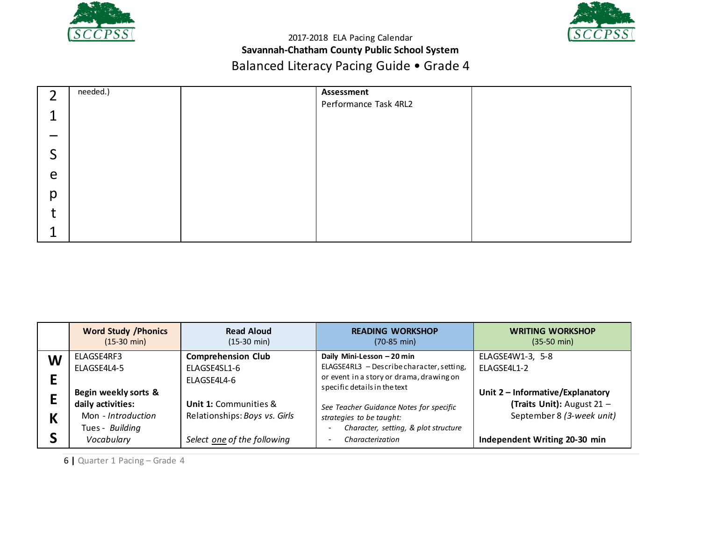



|   | needed.) | Assessment            |  |
|---|----------|-----------------------|--|
| ∠ |          | Performance Task 4RL2 |  |
|   |          |                       |  |
|   |          |                       |  |
|   |          |                       |  |
| د |          |                       |  |
| e |          |                       |  |
| p |          |                       |  |
|   |          |                       |  |
|   |          |                       |  |

|   | <b>Word Study / Phonics</b><br>$(15-30 \text{ min})$       | <b>Read Aloud</b><br>$(15-30 \text{ min})$                        | <b>READING WORKSHOP</b><br>$(70-85 \text{ min})$                                                            | <b>WRITING WORKSHOP</b><br>$(35-50 \text{ min})$        |
|---|------------------------------------------------------------|-------------------------------------------------------------------|-------------------------------------------------------------------------------------------------------------|---------------------------------------------------------|
| W | ELAGSE4RF3<br>ELAGSE4L4-5                                  | <b>Comprehension Club</b><br>ELAGSE4SL1-6                         | Daily Mini-Lesson - 20 min<br>ELAGSE4RL3 - Describe character, setting,                                     | ELAGSE4W1-3, 5-8<br>ELAGSE4L1-2                         |
|   | Begin weekly sorts &                                       | ELAGSE4L4-6                                                       | or event in a story or drama, drawing on<br>specific details in the text                                    | Unit 2 - Informative/Explanatory                        |
|   | daily activities:<br>Mon - Introduction<br>Tues - Building | <b>Unit 1: Communities &amp;</b><br>Relationships: Boys vs. Girls | See Teacher Guidance Notes for specific<br>strategies to be taught:<br>Character, setting, & plot structure | (Traits Unit): August 21 -<br>September 8 (3-week unit) |
|   | Vocabulary                                                 | Select one of the following                                       | Characterization                                                                                            | Independent Writing 20-30 min                           |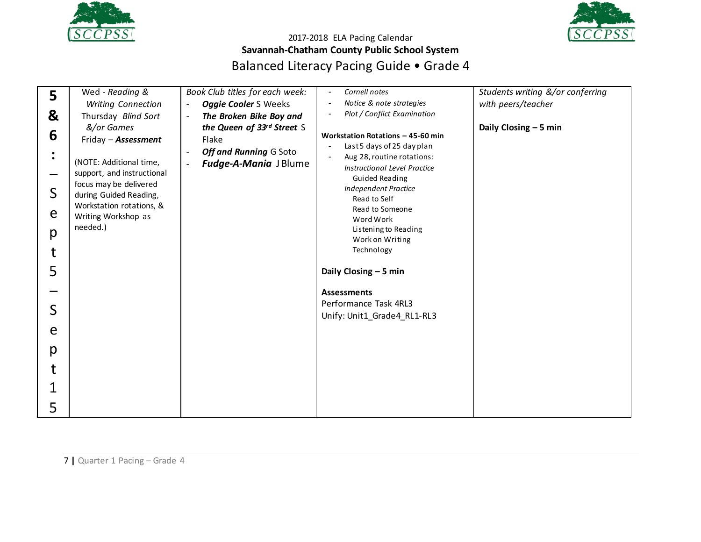



| 5<br>&<br>6<br>S<br>e<br>p<br>5 | Wed - Reading &<br><b>Writing Connection</b><br>Thursday Blind Sort<br>&/or Games<br>Friday - Assessment<br>(NOTE: Additional time,<br>support, and instructional<br>focus may be delivered<br>during Guided Reading,<br>Workstation rotations, &<br>Writing Workshop as<br>needed.) | Book Club titles for each week:<br><b>Oggie Cooler S Weeks</b><br>$\blacksquare$<br>The Broken Bike Boy and<br>$\blacksquare$<br>the Queen of 33rd Street S<br>Flake<br>Off and Running G Soto<br>$\overline{\phantom{a}}$<br>Fudge-A-Mania J Blume | Cornell notes<br>$\blacksquare$<br>Notice & note strategies<br>$\overline{a}$<br>Plot / Conflict Examination<br>Workstation Rotations - 45-60 min<br>Last 5 days of 25 day plan<br>Aug 28, routine rotations:<br>Instructional Level Practice<br><b>Guided Reading</b><br><b>Independent Practice</b><br>Read to Self<br>Read to Someone<br>Word Work<br>Listening to Reading<br>Work on Writing<br>Technology<br>Daily Closing - 5 min | Students writing &/or conferring<br>with peers/teacher<br>Daily Closing - 5 min |
|---------------------------------|--------------------------------------------------------------------------------------------------------------------------------------------------------------------------------------------------------------------------------------------------------------------------------------|-----------------------------------------------------------------------------------------------------------------------------------------------------------------------------------------------------------------------------------------------------|-----------------------------------------------------------------------------------------------------------------------------------------------------------------------------------------------------------------------------------------------------------------------------------------------------------------------------------------------------------------------------------------------------------------------------------------|---------------------------------------------------------------------------------|
|                                 |                                                                                                                                                                                                                                                                                      |                                                                                                                                                                                                                                                     |                                                                                                                                                                                                                                                                                                                                                                                                                                         |                                                                                 |
| S                               |                                                                                                                                                                                                                                                                                      |                                                                                                                                                                                                                                                     | <b>Assessments</b><br>Performance Task 4RL3                                                                                                                                                                                                                                                                                                                                                                                             |                                                                                 |
| e                               |                                                                                                                                                                                                                                                                                      |                                                                                                                                                                                                                                                     | Unify: Unit1_Grade4_RL1-RL3                                                                                                                                                                                                                                                                                                                                                                                                             |                                                                                 |
|                                 |                                                                                                                                                                                                                                                                                      |                                                                                                                                                                                                                                                     |                                                                                                                                                                                                                                                                                                                                                                                                                                         |                                                                                 |
| р                               |                                                                                                                                                                                                                                                                                      |                                                                                                                                                                                                                                                     |                                                                                                                                                                                                                                                                                                                                                                                                                                         |                                                                                 |
|                                 |                                                                                                                                                                                                                                                                                      |                                                                                                                                                                                                                                                     |                                                                                                                                                                                                                                                                                                                                                                                                                                         |                                                                                 |
|                                 |                                                                                                                                                                                                                                                                                      |                                                                                                                                                                                                                                                     |                                                                                                                                                                                                                                                                                                                                                                                                                                         |                                                                                 |
| 5                               |                                                                                                                                                                                                                                                                                      |                                                                                                                                                                                                                                                     |                                                                                                                                                                                                                                                                                                                                                                                                                                         |                                                                                 |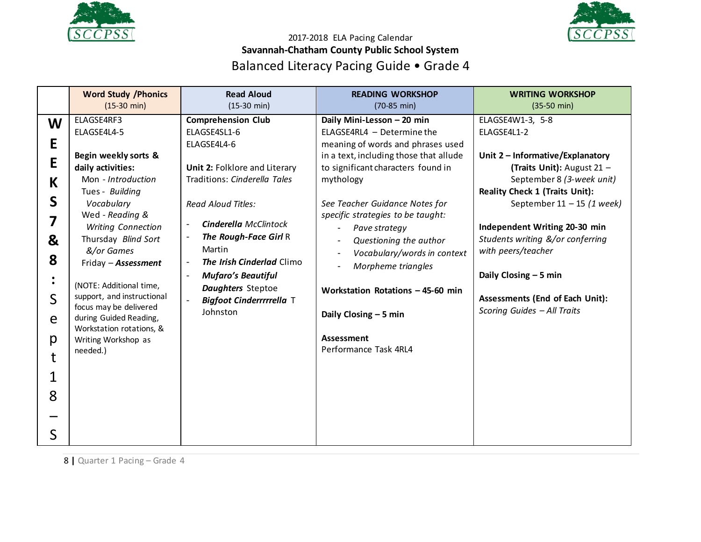



|                                                                          | <b>Word Study / Phonics</b>                                                                                                                                                                                                                                                                                                                                                                                           | <b>Read Aloud</b>                                                                                                                                                                                                                                                                                                                                                                                                                    | <b>READING WORKSHOP</b>                                                                                                                                                                                                                                                                                                                                                                                                                                                       | <b>WRITING WORKSHOP</b>                                                                                                                                                                                                                                                                                                                                                                             |
|--------------------------------------------------------------------------|-----------------------------------------------------------------------------------------------------------------------------------------------------------------------------------------------------------------------------------------------------------------------------------------------------------------------------------------------------------------------------------------------------------------------|--------------------------------------------------------------------------------------------------------------------------------------------------------------------------------------------------------------------------------------------------------------------------------------------------------------------------------------------------------------------------------------------------------------------------------------|-------------------------------------------------------------------------------------------------------------------------------------------------------------------------------------------------------------------------------------------------------------------------------------------------------------------------------------------------------------------------------------------------------------------------------------------------------------------------------|-----------------------------------------------------------------------------------------------------------------------------------------------------------------------------------------------------------------------------------------------------------------------------------------------------------------------------------------------------------------------------------------------------|
|                                                                          | $(15-30 \text{ min})$                                                                                                                                                                                                                                                                                                                                                                                                 | $(15-30 \text{ min})$                                                                                                                                                                                                                                                                                                                                                                                                                | $(70-85 \text{ min})$                                                                                                                                                                                                                                                                                                                                                                                                                                                         | $(35-50 \text{ min})$                                                                                                                                                                                                                                                                                                                                                                               |
| W<br>E<br>E<br>K<br>S<br>&<br>8<br>$\mathsf{S}$<br>e<br>p<br>1<br>8<br>S | ELAGSE4RF3<br>ELAGSE4L4-5<br>Begin weekly sorts &<br>daily activities:<br>Mon - Introduction<br>Tues - Building<br>Vocabulary<br>Wed - Reading &<br><b>Writing Connection</b><br>Thursday Blind Sort<br>&/or Games<br>Friday - Assessment<br>(NOTE: Additional time,<br>support, and instructional<br>focus may be delivered<br>during Guided Reading,<br>Workstation rotations, &<br>Writing Workshop as<br>needed.) | <b>Comprehension Club</b><br>ELAGSE4SL1-6<br>ELAGSE4L4-6<br>Unit 2: Folklore and Literary<br>Traditions: Cinderella Tales<br><b>Read Aloud Titles:</b><br>Cinderella McClintock<br>The Rough-Face Girl R<br>Martin<br>The Irish Cinderlad Climo<br>$\overline{\phantom{a}}$<br><b>Mufaro's Beautiful</b><br>$\overline{\phantom{a}}$<br><b>Daughters</b> Steptoe<br>Bigfoot Cinderrrrrella T<br>$\overline{\phantom{a}}$<br>Johnston | Daily Mini-Lesson - 20 min<br>ELAGSE4RL4 - Determine the<br>meaning of words and phrases used<br>in a text, including those that allude<br>to significant characters found in<br>mythology<br>See Teacher Guidance Notes for<br>specific strategies to be taught:<br>Pave strategy<br>Questioning the author<br>Vocabulary/words in context<br>Morpheme triangles<br>Workstation Rotations - 45-60 min<br>Daily Closing - 5 min<br><b>Assessment</b><br>Performance Task 4RL4 | ELAGSE4W1-3, 5-8<br>ELAGSE4L1-2<br>Unit 2 - Informative/Explanatory<br>(Traits Unit): August 21 -<br>September 8 (3-week unit)<br><b>Reality Check 1 (Traits Unit):</b><br>September 11 - 15 (1 week)<br>Independent Writing 20-30 min<br>Students writing &/or conferring<br>with peers/teacher<br>Daily Closing $-5$ min<br><b>Assessments (End of Each Unit):</b><br>Scoring Guides - All Traits |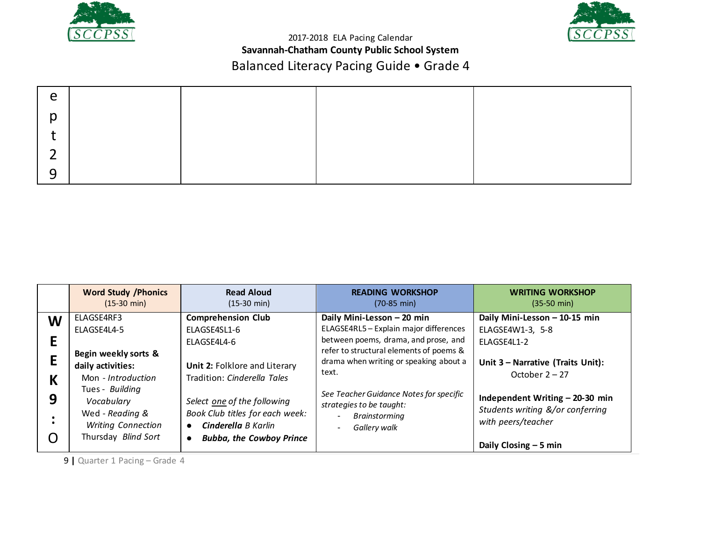



| e |  |  |
|---|--|--|
| ∽ |  |  |
|   |  |  |
|   |  |  |
|   |  |  |

|        | <b>Word Study / Phonics</b><br>$(15-30 \text{ min})$                                                 | <b>Read Aloud</b><br>$(15-30 \text{ min})$                                                                                                   | <b>READING WORKSHOP</b><br>$(70-85 \text{ min})$                                                                                                                                                           | <b>WRITING WORKSHOP</b><br>$(35-50 \text{ min})$                                                                          |
|--------|------------------------------------------------------------------------------------------------------|----------------------------------------------------------------------------------------------------------------------------------------------|------------------------------------------------------------------------------------------------------------------------------------------------------------------------------------------------------------|---------------------------------------------------------------------------------------------------------------------------|
| W<br>К | ELAGSE4RF3<br>ELAGSE4L4-5<br>Begin weekly sorts &<br>daily activities:<br>Mon - Introduction         | <b>Comprehension Club</b><br>ELAGSE4SL1-6<br>ELAGSE4L4-6<br>Unit 2: Folklore and Literary<br>Tradition: Cinderella Tales                     | Daily Mini-Lesson - 20 min<br>ELAGSE4RL5 - Explain major differences<br>between poems, drama, and prose, and<br>refer to structural elements of poems &<br>drama when writing or speaking about a<br>text. | Daily Mini-Lesson - 10-15 min<br>ELAGSE4W1-3, 5-8<br>ELAGSE4L1-2<br>Unit 3 - Narrative (Traits Unit):<br>October $2 - 27$ |
| 9      | Tues - Building<br>Vocabulary<br>Wed - Reading &<br><b>Writing Connection</b><br>Thursday Blind Sort | Select one of the following<br>Book Club titles for each week:<br><b>Cinderella B Karlin</b><br>$\bullet$<br><b>Bubba, the Cowboy Prince</b> | See Teacher Guidance Notes for specific<br>strategies to be taught:<br><b>Brainstorming</b><br>Gallery walk                                                                                                | Independent Writing - 20-30 min<br>Students writing &/or conferring<br>with peers/teacher<br>Daily Closing $-5$ min       |